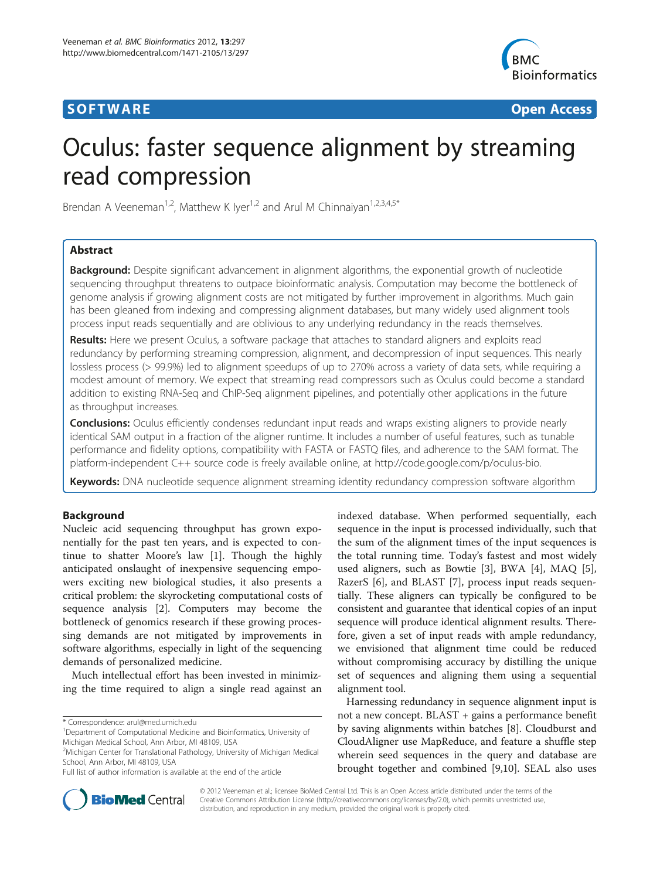## **SOFTWARE SOFTWARE** *CONSERVERSE EXECUTIVE EXECUTIVE EXECUTIVE EXECUTIVE EXECUTIVE EXECUTIVE EXECUTIVE EXECUTIVE EXECUTIVE EXECUTIVE EXECUTIVE EXECUTIVE EXECUTIVE EXECUTIVE EXECUTIVE EXECUTIVE EXECUTIVE EXECUTIVE EXECUT*



# Oculus: faster sequence alignment by streaming read compression

Brendan A Veeneman<sup>1,2</sup>, Matthew K Iyer<sup>1,2</sup> and Arul M Chinnaiyan<sup>1,2,3,4,5\*</sup>

## Abstract

Background: Despite significant advancement in alignment algorithms, the exponential growth of nucleotide sequencing throughput threatens to outpace bioinformatic analysis. Computation may become the bottleneck of genome analysis if growing alignment costs are not mitigated by further improvement in algorithms. Much gain has been gleaned from indexing and compressing alignment databases, but many widely used alignment tools process input reads sequentially and are oblivious to any underlying redundancy in the reads themselves.

Results: Here we present Oculus, a software package that attaches to standard aligners and exploits read redundancy by performing streaming compression, alignment, and decompression of input sequences. This nearly lossless process (> 99.9%) led to alignment speedups of up to 270% across a variety of data sets, while requiring a modest amount of memory. We expect that streaming read compressors such as Oculus could become a standard addition to existing RNA-Seq and ChIP-Seq alignment pipelines, and potentially other applications in the future as throughput increases.

**Conclusions:** Oculus efficiently condenses redundant input reads and wraps existing aligners to provide nearly identical SAM output in a fraction of the aligner runtime. It includes a number of useful features, such as tunable performance and fidelity options, compatibility with FASTA or FASTQ files, and adherence to the SAM format. The platform-independent C++ source code is freely available online, at [http://code.google.com/p/oculus-bio.](http://code.google.com/p/oculus-bio)

Keywords: DNA nucleotide sequence alignment streaming identity redundancy compression software algorithm

## Background

Nucleic acid sequencing throughput has grown exponentially for the past ten years, and is expected to continue to shatter Moore's law [[1\]](#page-7-0). Though the highly anticipated onslaught of inexpensive sequencing empowers exciting new biological studies, it also presents a critical problem: the skyrocketing computational costs of sequence analysis [\[2](#page-7-0)]. Computers may become the bottleneck of genomics research if these growing processing demands are not mitigated by improvements in software algorithms, especially in light of the sequencing demands of personalized medicine.

Much intellectual effort has been invested in minimizing the time required to align a single read against an

\* Correspondence: [arul@med.umich.edu](mailto:arul@med.umich.edu) <sup>1</sup>

<sup>1</sup>Department of Computational Medicine and Bioinformatics, University of Michigan Medical School, Ann Arbor, MI 48109, USA

indexed database. When performed sequentially, each sequence in the input is processed individually, such that the sum of the alignment times of the input sequences is the total running time. Today's fastest and most widely used aligners, such as Bowtie [\[3](#page-7-0)], BWA [\[4](#page-7-0)], MAQ [\[5](#page-7-0)], RazerS [\[6](#page-7-0)], and BLAST [[7\]](#page-7-0), process input reads sequentially. These aligners can typically be configured to be consistent and guarantee that identical copies of an input sequence will produce identical alignment results. Therefore, given a set of input reads with ample redundancy, we envisioned that alignment time could be reduced without compromising accuracy by distilling the unique set of sequences and aligning them using a sequential alignment tool.

Harnessing redundancy in sequence alignment input is not a new concept. BLAST + gains a performance benefit by saving alignments within batches [[8\]](#page-7-0). Cloudburst and CloudAligner use MapReduce, and feature a shuffle step wherein seed sequences in the query and database are brought together and combined [[9,10\]](#page-7-0). SEAL also uses



© 2012 Veeneman et al.; licensee BioMed Central Ltd. This is an Open Access article distributed under the terms of the Creative Commons Attribution License (<http://creativecommons.org/licenses/by/2.0>), which permits unrestricted use, distribution, and reproduction in any medium, provided the original work is properly cited.

<sup>2</sup> Michigan Center for Translational Pathology, University of Michigan Medical School, Ann Arbor, MI 48109, USA

Full list of author information is available at the end of the article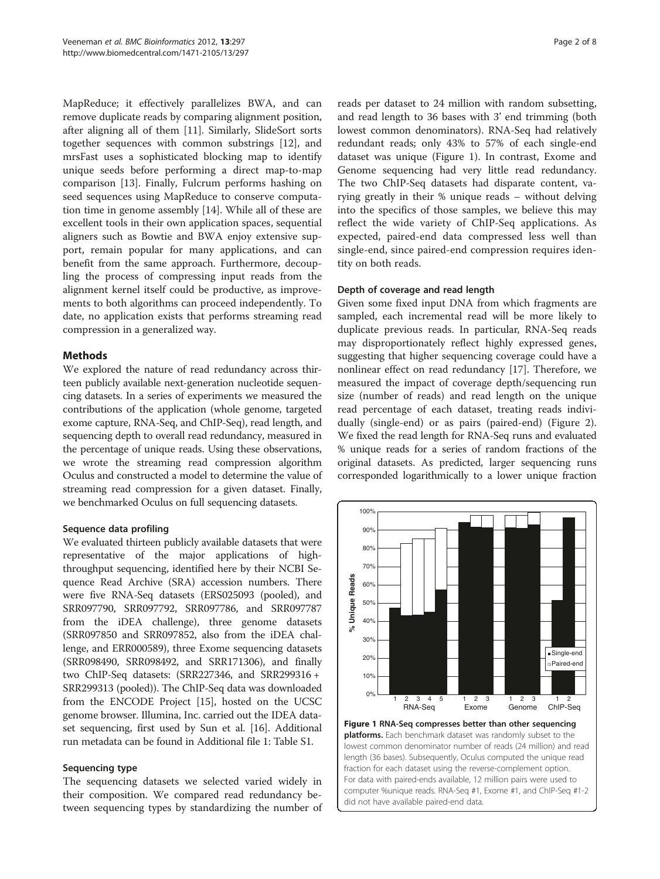<span id="page-1-0"></span>MapReduce; it effectively parallelizes BWA, and can remove duplicate reads by comparing alignment position, after aligning all of them [\[11\]](#page-7-0). Similarly, SlideSort sorts together sequences with common substrings [\[12](#page-7-0)], and mrsFast uses a sophisticated blocking map to identify unique seeds before performing a direct map-to-map comparison [[13\]](#page-7-0). Finally, Fulcrum performs hashing on seed sequences using MapReduce to conserve computation time in genome assembly [\[14](#page-7-0)]. While all of these are excellent tools in their own application spaces, sequential aligners such as Bowtie and BWA enjoy extensive support, remain popular for many applications, and can benefit from the same approach. Furthermore, decoupling the process of compressing input reads from the alignment kernel itself could be productive, as improvements to both algorithms can proceed independently. To date, no application exists that performs streaming read compression in a generalized way.

## Methods

We explored the nature of read redundancy across thirteen publicly available next-generation nucleotide sequencing datasets. In a series of experiments we measured the contributions of the application (whole genome, targeted exome capture, RNA-Seq, and ChIP-Seq), read length, and sequencing depth to overall read redundancy, measured in the percentage of unique reads. Using these observations, we wrote the streaming read compression algorithm Oculus and constructed a model to determine the value of streaming read compression for a given dataset. Finally, we benchmarked Oculus on full sequencing datasets.

## Sequence data profiling

We evaluated thirteen publicly available datasets that were representative of the major applications of highthroughput sequencing, identified here by their NCBI Sequence Read Archive (SRA) accession numbers. There were five RNA-Seq datasets (ERS025093 (pooled), and SRR097790, SRR097792, SRR097786, and SRR097787 from the iDEA challenge), three genome datasets (SRR097850 and SRR097852, also from the iDEA challenge, and ERR000589), three Exome sequencing datasets (SRR098490, SRR098492, and SRR171306), and finally two ChIP-Seq datasets: (SRR227346, and SRR299316 + SRR299313 (pooled)). The ChIP-Seq data was downloaded from the ENCODE Project [\[15](#page-7-0)], hosted on the UCSC genome browser. Illumina, Inc. carried out the IDEA dataset sequencing, first used by Sun et al. [\[16\]](#page-7-0). Additional run metadata can be found in Additional file [1](#page-6-0): Table S1.

## Sequencing type

The sequencing datasets we selected varied widely in their composition. We compared read redundancy between sequencing types by standardizing the number of

reads per dataset to 24 million with random subsetting, and read length to 36 bases with 3' end trimming (both lowest common denominators). RNA-Seq had relatively redundant reads; only 43% to 57% of each single-end dataset was unique (Figure 1). In contrast, Exome and Genome sequencing had very little read redundancy. The two ChIP-Seq datasets had disparate content, varying greatly in their % unique reads – without delving into the specifics of those samples, we believe this may reflect the wide variety of ChIP-Seq applications. As expected, paired-end data compressed less well than single-end, since paired-end compression requires identity on both reads.

## Depth of coverage and read length

Given some fixed input DNA from which fragments are sampled, each incremental read will be more likely to duplicate previous reads. In particular, RNA-Seq reads may disproportionately reflect highly expressed genes, suggesting that higher sequencing coverage could have a nonlinear effect on read redundancy [[17\]](#page-7-0). Therefore, we measured the impact of coverage depth/sequencing run size (number of reads) and read length on the unique read percentage of each dataset, treating reads individually (single-end) or as pairs (paired-end) (Figure [2](#page-2-0)). We fixed the read length for RNA-Seq runs and evaluated % unique reads for a series of random fractions of the original datasets. As predicted, larger sequencing runs corresponded logarithmically to a lower unique fraction



Figure 1 RNA-Seq compresses better than other sequencing platforms. Each benchmark dataset was randomly subset to the lowest common denominator number of reads (24 million) and read length (36 bases). Subsequently, Oculus computed the unique read fraction for each dataset using the reverse-complement option. For data with paired-ends available, 12 million pairs were used to computer %unique reads. RNA-Seq #1, Exome #1, and ChIP-Seq #1-2 did not have available paired-end data.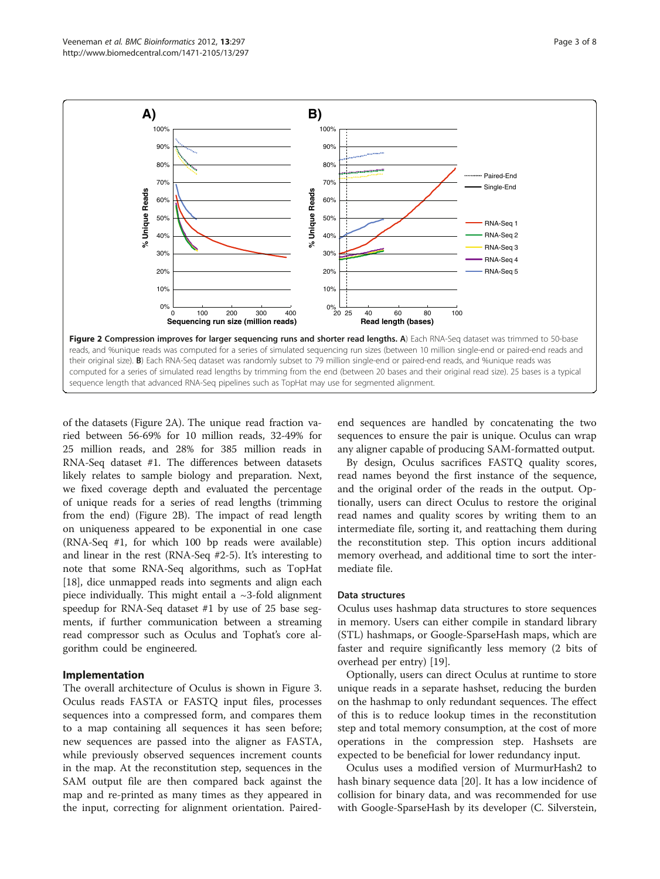<span id="page-2-0"></span>

of the datasets (Figure 2A). The unique read fraction varied between 56-69% for 10 million reads, 32-49% for 25 million reads, and 28% for 385 million reads in RNA-Seq dataset #1. The differences between datasets likely relates to sample biology and preparation. Next, we fixed coverage depth and evaluated the percentage of unique reads for a series of read lengths (trimming from the end) (Figure 2B). The impact of read length on uniqueness appeared to be exponential in one case (RNA-Seq #1, for which 100 bp reads were available) and linear in the rest (RNA-Seq #2-5). It's interesting to note that some RNA-Seq algorithms, such as TopHat [[18](#page-7-0)], dice unmapped reads into segments and align each piece individually. This might entail a  $\sim$ 3-fold alignment speedup for RNA-Seq dataset #1 by use of 25 base segments, if further communication between a streaming read compressor such as Oculus and Tophat's core algorithm could be engineered.

#### Implementation

The overall architecture of Oculus is shown in Figure [3](#page-3-0). Oculus reads FASTA or FASTQ input files, processes sequences into a compressed form, and compares them to a map containing all sequences it has seen before; new sequences are passed into the aligner as FASTA, while previously observed sequences increment counts in the map. At the reconstitution step, sequences in the SAM output file are then compared back against the map and re-printed as many times as they appeared in the input, correcting for alignment orientation. Pairedend sequences are handled by concatenating the two sequences to ensure the pair is unique. Oculus can wrap any aligner capable of producing SAM-formatted output.

By design, Oculus sacrifices FASTQ quality scores, read names beyond the first instance of the sequence, and the original order of the reads in the output. Optionally, users can direct Oculus to restore the original read names and quality scores by writing them to an intermediate file, sorting it, and reattaching them during the reconstitution step. This option incurs additional memory overhead, and additional time to sort the intermediate file.

#### Data structures

Oculus uses hashmap data structures to store sequences in memory. Users can either compile in standard library (STL) hashmaps, or Google-SparseHash maps, which are faster and require significantly less memory (2 bits of overhead per entry) [\[19](#page-7-0)].

Optionally, users can direct Oculus at runtime to store unique reads in a separate hashset, reducing the burden on the hashmap to only redundant sequences. The effect of this is to reduce lookup times in the reconstitution step and total memory consumption, at the cost of more operations in the compression step. Hashsets are expected to be beneficial for lower redundancy input.

Oculus uses a modified version of MurmurHash2 to hash binary sequence data [\[20](#page-7-0)]. It has a low incidence of collision for binary data, and was recommended for use with Google-SparseHash by its developer (C. Silverstein,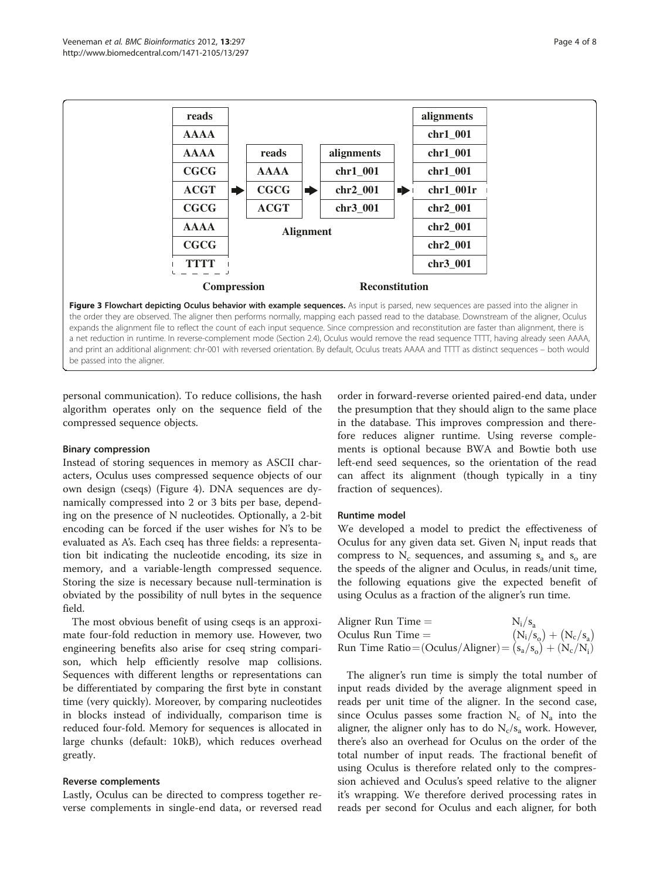<span id="page-3-0"></span>

personal communication). To reduce collisions, the hash algorithm operates only on the sequence field of the compressed sequence objects.

#### Binary compression

Instead of storing sequences in memory as ASCII characters, Oculus uses compressed sequence objects of our own design (cseqs) (Figure [4](#page-4-0)). DNA sequences are dynamically compressed into 2 or 3 bits per base, depending on the presence of N nucleotides. Optionally, a 2-bit encoding can be forced if the user wishes for N's to be evaluated as A's. Each cseq has three fields: a representation bit indicating the nucleotide encoding, its size in memory, and a variable-length compressed sequence. Storing the size is necessary because null-termination is obviated by the possibility of null bytes in the sequence field.

The most obvious benefit of using cseqs is an approximate four-fold reduction in memory use. However, two engineering benefits also arise for cseq string comparison, which help efficiently resolve map collisions. Sequences with different lengths or representations can be differentiated by comparing the first byte in constant time (very quickly). Moreover, by comparing nucleotides in blocks instead of individually, comparison time is reduced four-fold. Memory for sequences is allocated in large chunks (default: 10kB), which reduces overhead greatly.

#### Reverse complements

Lastly, Oculus can be directed to compress together reverse complements in single-end data, or reversed read

order in forward-reverse oriented paired-end data, under the presumption that they should align to the same place in the database. This improves compression and therefore reduces aligner runtime. Using reverse complements is optional because BWA and Bowtie both use left-end seed sequences, so the orientation of the read can affect its alignment (though typically in a tiny fraction of sequences).

#### Runtime model

We developed a model to predict the effectiveness of Oculus for any given data set. Given  $N_i$  input reads that compress to  $N_c$  sequences, and assuming  $s_a$  and  $s_o$  are the speeds of the aligner and Oculus, in reads/unit time, the following equations give the expected benefit of using Oculus as a fraction of the aligner's run time.

| Aligner Run Time $=$                                                                                     | $N_i/s_a$ |
|----------------------------------------------------------------------------------------------------------|-----------|
| Oculus Run Time = $(N_i/s_o) + (N_c/s_a)$<br>Run Time Ratio = (Oculus/Aligner) = $(s_a/s_o) + (N_c/N_i)$ |           |
|                                                                                                          |           |

The aligner's run time is simply the total number of input reads divided by the average alignment speed in reads per unit time of the aligner. In the second case, since Oculus passes some fraction  $N_c$  of  $N_a$  into the aligner, the aligner only has to do  $N_c/s_a$  work. However, there's also an overhead for Oculus on the order of the total number of input reads. The fractional benefit of using Oculus is therefore related only to the compression achieved and Oculus's speed relative to the aligner it's wrapping. We therefore derived processing rates in reads per second for Oculus and each aligner, for both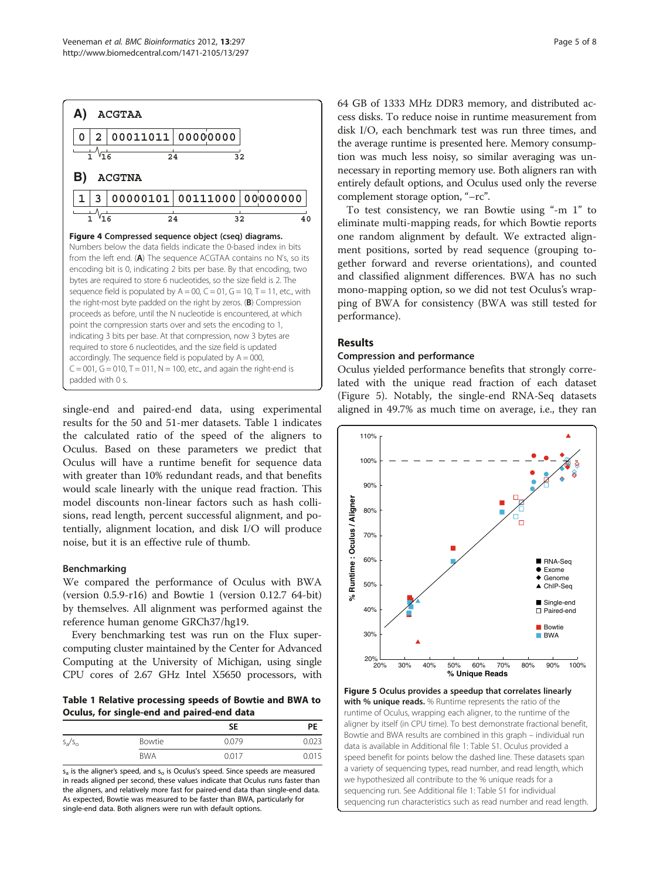<span id="page-4-0"></span>

single-end and paired-end data, using experimental results for the 50 and 51-mer datasets. Table 1 indicates the calculated ratio of the speed of the aligners to Oculus. Based on these parameters we predict that Oculus will have a runtime benefit for sequence data with greater than 10% redundant reads, and that benefits would scale linearly with the unique read fraction. This model discounts non-linear factors such as hash collisions, read length, percent successful alignment, and potentially, alignment location, and disk I/O will produce noise, but it is an effective rule of thumb.

## Benchmarking

We compared the performance of Oculus with BWA (version 0.5.9-r16) and Bowtie 1 (version 0.12.7 64-bit) by themselves. All alignment was performed against the reference human genome GRCh37/hg19.

Every benchmarking test was run on the Flux supercomputing cluster maintained by the Center for Advanced Computing at the University of Michigan, using single CPU cores of 2.67 GHz Intel X5650 processors, with

Table 1 Relative processing speeds of Bowtie and BWA to Oculus, for single-end and paired-end data

|           |            | SΕ    | PE    |
|-----------|------------|-------|-------|
| $S_a/S_0$ | Bowtie     | 0.079 | 0023  |
|           | <b>BWA</b> | 0017  | 0.015 |

 $s_a$  is the aligner's speed, and  $s_a$  is Oculus's speed. Since speeds are measured in reads aligned per second, these values indicate that Oculus runs faster than the aligners, and relatively more fast for paired-end data than single-end data. As expected, Bowtie was measured to be faster than BWA, particularly for single-end data. Both aligners were run with default options.

64 GB of 1333 MHz DDR3 memory, and distributed access disks. To reduce noise in runtime measurement from disk I/O, each benchmark test was run three times, and the average runtime is presented here. Memory consumption was much less noisy, so similar averaging was unnecessary in reporting memory use. Both aligners ran with entirely default options, and Oculus used only the reverse complement storage option, "–rc".

To test consistency, we ran Bowtie using "-m 1" to eliminate multi-mapping reads, for which Bowtie reports one random alignment by default. We extracted alignment positions, sorted by read sequence (grouping together forward and reverse orientations), and counted and classified alignment differences. BWA has no such mono-mapping option, so we did not test Oculus's wrapping of BWA for consistency (BWA was still tested for performance).

#### Results

#### Compression and performance

Oculus yielded performance benefits that strongly correlated with the unique read fraction of each dataset (Figure 5). Notably, the single-end RNA-Seq datasets aligned in 49.7% as much time on average, i.e., they ran



Figure 5 Oculus provides a speedup that correlates linearly with % unique reads. % Runtime represents the ratio of the runtime of Oculus, wrapping each aligner, to the runtime of the aligner by itself (in CPU time). To best demonstrate fractional benefit, Bowtie and BWA results are combined in this graph – individual run data is available in Additional file [1](#page-6-0): Table S1. Oculus provided a speed benefit for points below the dashed line. These datasets span a variety of sequencing types, read number, and read length, which we hypothesized all contribute to the % unique reads for a sequencing run. See Additional file [1:](#page-6-0) Table S1 for individual sequencing run characteristics such as read number and read length.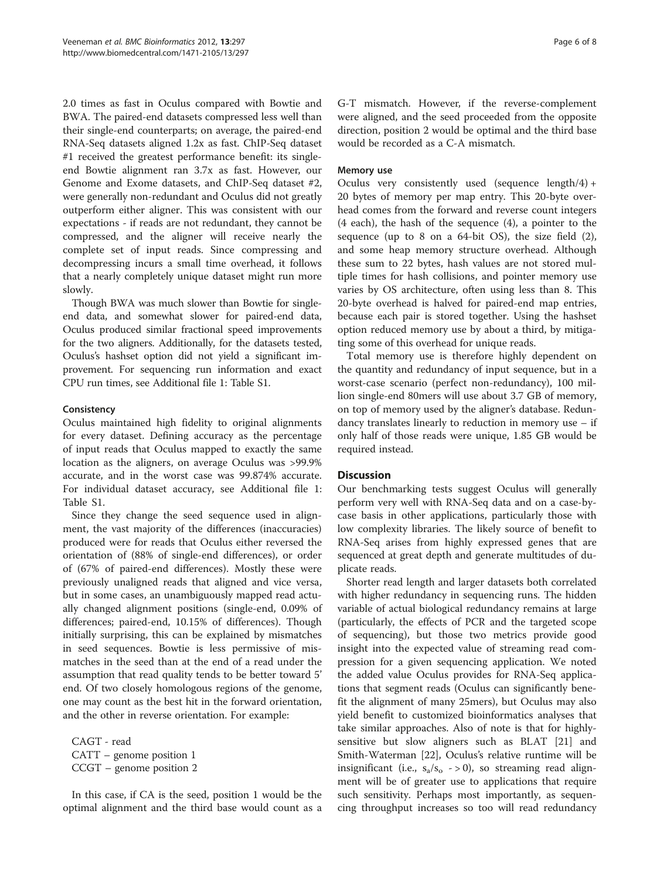2.0 times as fast in Oculus compared with Bowtie and BWA. The paired-end datasets compressed less well than their single-end counterparts; on average, the paired-end RNA-Seq datasets aligned 1.2x as fast. ChIP-Seq dataset #1 received the greatest performance benefit: its singleend Bowtie alignment ran 3.7x as fast. However, our Genome and Exome datasets, and ChIP-Seq dataset #2, were generally non-redundant and Oculus did not greatly outperform either aligner. This was consistent with our expectations - if reads are not redundant, they cannot be compressed, and the aligner will receive nearly the complete set of input reads. Since compressing and decompressing incurs a small time overhead, it follows that a nearly completely unique dataset might run more slowly.

Though BWA was much slower than Bowtie for singleend data, and somewhat slower for paired-end data, Oculus produced similar fractional speed improvements for the two aligners. Additionally, for the datasets tested, Oculus's hashset option did not yield a significant improvement. For sequencing run information and exact CPU run times, see Additional file [1:](#page-6-0) Table S1.

## **Consistency**

Oculus maintained high fidelity to original alignments for every dataset. Defining accuracy as the percentage of input reads that Oculus mapped to exactly the same location as the aligners, on average Oculus was >99.9% accurate, and in the worst case was 99.874% accurate. For individual dataset accuracy, see Additional file [1](#page-6-0): Table S1.

Since they change the seed sequence used in alignment, the vast majority of the differences (inaccuracies) produced were for reads that Oculus either reversed the orientation of (88% of single-end differences), or order of (67% of paired-end differences). Mostly these were previously unaligned reads that aligned and vice versa, but in some cases, an unambiguously mapped read actually changed alignment positions (single-end, 0.09% of differences; paired-end, 10.15% of differences). Though initially surprising, this can be explained by mismatches in seed sequences. Bowtie is less permissive of mismatches in the seed than at the end of a read under the assumption that read quality tends to be better toward 5' end. Of two closely homologous regions of the genome, one may count as the best hit in the forward orientation, and the other in reverse orientation. For example:

CAGT - read CATT – genome position 1 CCGT – genome position 2

In this case, if CA is the seed, position 1 would be the optimal alignment and the third base would count as a G-T mismatch. However, if the reverse-complement were aligned, and the seed proceeded from the opposite direction, position 2 would be optimal and the third base would be recorded as a C-A mismatch.

#### Memory use

Oculus very consistently used (sequence length/4) + 20 bytes of memory per map entry. This 20-byte overhead comes from the forward and reverse count integers (4 each), the hash of the sequence (4), a pointer to the sequence (up to 8 on a 64-bit OS), the size field (2), and some heap memory structure overhead. Although these sum to 22 bytes, hash values are not stored multiple times for hash collisions, and pointer memory use varies by OS architecture, often using less than 8. This 20-byte overhead is halved for paired-end map entries, because each pair is stored together. Using the hashset option reduced memory use by about a third, by mitigating some of this overhead for unique reads.

Total memory use is therefore highly dependent on the quantity and redundancy of input sequence, but in a worst-case scenario (perfect non-redundancy), 100 million single-end 80mers will use about 3.7 GB of memory, on top of memory used by the aligner's database. Redundancy translates linearly to reduction in memory use – if only half of those reads were unique, 1.85 GB would be required instead.

## **Discussion**

Our benchmarking tests suggest Oculus will generally perform very well with RNA-Seq data and on a case-bycase basis in other applications, particularly those with low complexity libraries. The likely source of benefit to RNA-Seq arises from highly expressed genes that are sequenced at great depth and generate multitudes of duplicate reads.

Shorter read length and larger datasets both correlated with higher redundancy in sequencing runs. The hidden variable of actual biological redundancy remains at large (particularly, the effects of PCR and the targeted scope of sequencing), but those two metrics provide good insight into the expected value of streaming read compression for a given sequencing application. We noted the added value Oculus provides for RNA-Seq applications that segment reads (Oculus can significantly benefit the alignment of many 25mers), but Oculus may also yield benefit to customized bioinformatics analyses that take similar approaches. Also of note is that for highlysensitive but slow aligners such as BLAT [[21\]](#page-7-0) and Smith-Waterman [\[22\]](#page-7-0), Oculus's relative runtime will be insignificant (i.e.,  $s_a/s_o \rightarrow 0$ ), so streaming read alignment will be of greater use to applications that require such sensitivity. Perhaps most importantly, as sequencing throughput increases so too will read redundancy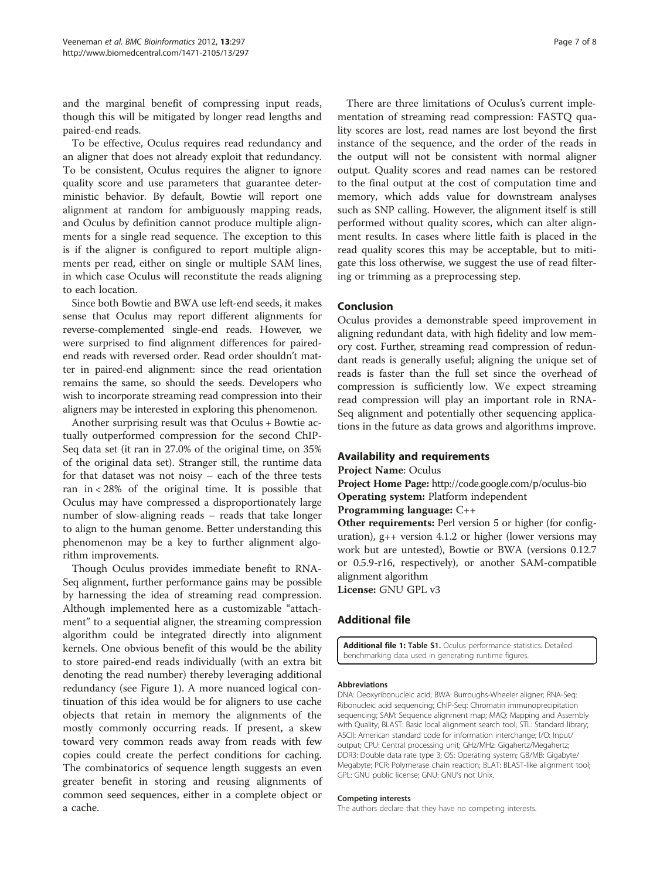<span id="page-6-0"></span>and the marginal benefit of compressing input reads, though this will be mitigated by longer read lengths and paired-end reads.

To be effective, Oculus requires read redundancy and an aligner that does not already exploit that redundancy. To be consistent, Oculus requires the aligner to ignore quality score and use parameters that guarantee deterministic behavior. By default, Bowtie will report one alignment at random for ambiguously mapping reads, and Oculus by definition cannot produce multiple alignments for a single read sequence. The exception to this is if the aligner is configured to report multiple alignments per read, either on single or multiple SAM lines, in which case Oculus will reconstitute the reads aligning to each location.

Since both Bowtie and BWA use left-end seeds, it makes sense that Oculus may report different alignments for reverse-complemented single-end reads. However, we were surprised to find alignment differences for pairedend reads with reversed order. Read order shouldn't matter in paired-end alignment: since the read orientation remains the same, so should the seeds. Developers who wish to incorporate streaming read compression into their aligners may be interested in exploring this phenomenon.

Another surprising result was that Oculus + Bowtie actually outperformed compression for the second ChIP-Seq data set (it ran in 27.0% of the original time, on 35% of the original data set). Stranger still, the runtime data for that dataset was not noisy – each of the three tests ran in < 28% of the original time. It is possible that Oculus may have compressed a disproportionately large number of slow-aligning reads – reads that take longer to align to the human genome. Better understanding this phenomenon may be a key to further alignment algorithm improvements.

Though Oculus provides immediate benefit to RNA-Seq alignment, further performance gains may be possible by harnessing the idea of streaming read compression. Although implemented here as a customizable "attachment" to a sequential aligner, the streaming compression algorithm could be integrated directly into alignment kernels. One obvious benefit of this would be the ability to store paired-end reads individually (with an extra bit denoting the read number) thereby leveraging additional redundancy (see Figure [1\)](#page-1-0). A more nuanced logical continuation of this idea would be for aligners to use cache objects that retain in memory the alignments of the mostly commonly occurring reads. If present, a skew toward very common reads away from reads with few copies could create the perfect conditions for caching. The combinatorics of sequence length suggests an even greater benefit in storing and reusing alignments of common seed sequences, either in a complete object or a cache.

There are three limitations of Oculus's current implementation of streaming read compression: FASTQ quality scores are lost, read names are lost beyond the first instance of the sequence, and the order of the reads in the output will not be consistent with normal aligner output. Quality scores and read names can be restored to the final output at the cost of computation time and memory, which adds value for downstream analyses such as SNP calling. However, the alignment itself is still performed without quality scores, which can alter alignment results. In cases where little faith is placed in the read quality scores this may be acceptable, but to mitigate this loss otherwise, we suggest the use of read filtering or trimming as a preprocessing step.

## Conclusion

Oculus provides a demonstrable speed improvement in aligning redundant data, with high fidelity and low memory cost. Further, streaming read compression of redundant reads is generally useful; aligning the unique set of reads is faster than the full set since the overhead of compression is sufficiently low. We expect streaming read compression will play an important role in RNA-Seq alignment and potentially other sequencing applications in the future as data grows and algorithms improve.

## Availability and requirements

Project Name: Oculus

Project Home Page: <http://code.google.com/p/oculus-bio> Operating system: Platform independent

Programming language: C++

Other requirements: Perl version 5 or higher (for configuration), g++ version 4.1.2 or higher (lower versions may work but are untested), Bowtie or BWA (versions 0.12.7 or 0.5.9-r16, respectively), or another SAM-compatible alignment algorithm

License: GNU GPL v3

## Additional file

[Additional file 1:](http://www.biomedcentral.com/content/supplementary/1471-2105-13-297-S1.xls) Table S1. Oculus performance statistics. Detailed benchmarking data used in generating runtime figures.

#### Abbreviations

DNA: Deoxyribonucleic acid; BWA: Burroughs-Wheeler aligner; RNA-Seq: Ribonucleic acid sequencing; ChIP-Seq: Chromatin immunoprecipitation sequencing; SAM: Sequence alignment map; MAQ: Mapping and Assembly with Quality; BLAST: Basic local alignment search tool; STL: Standard library; ASCII: American standard code for information interchange; I/O: Input/ output; CPU: Central processing unit; GHz/MHz: Gigahertz/Megahertz; DDR3: Double data rate type 3; OS: Operating system; GB/MB: Gigabyte/ Megabyte; PCR: Polymerase chain reaction; BLAT: BLAST-like alignment tool; GPL: GNU public license; GNU: GNU's not Unix.

#### Competing interests

The authors declare that they have no competing interests.